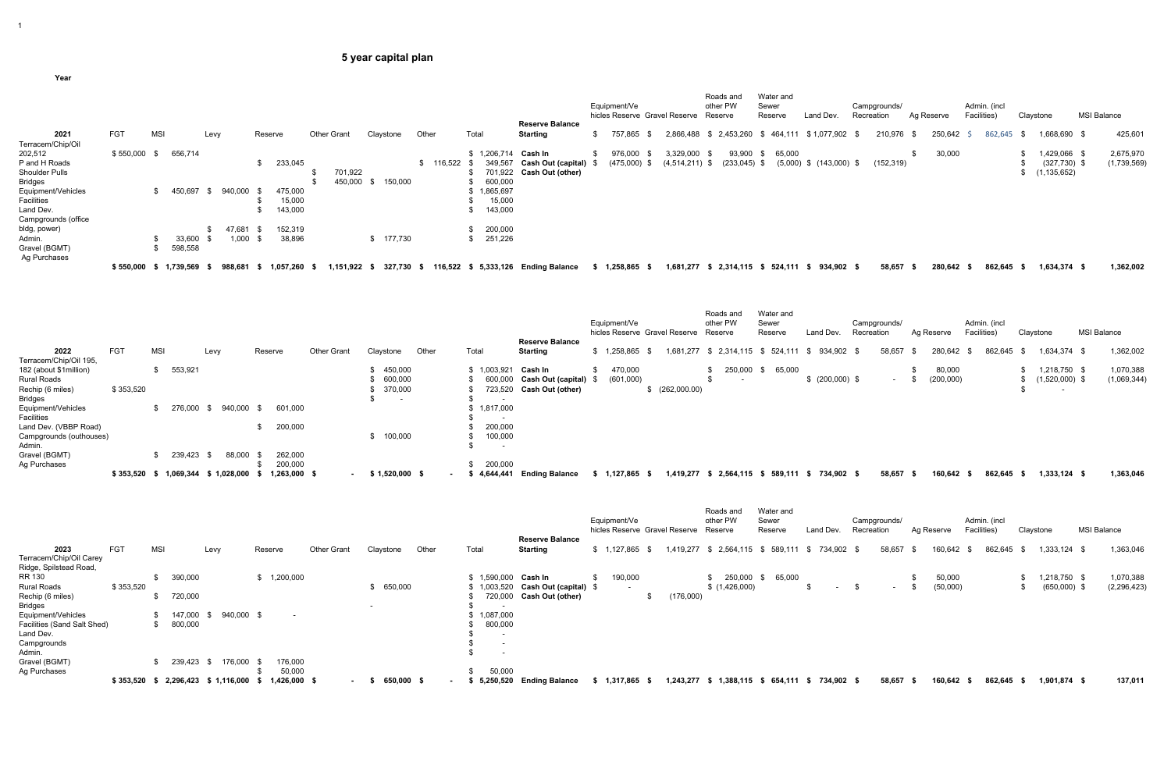**Year**

|                     |            |            |            |      |         |           |                    |            |       |            |       |             | <b>Reserve Balance</b>              | Equipment/Ve |                | hicles Reserve Gravel Reserve | Roads and<br>other PW<br>Reserve |                 | Sewer<br>Reserve | Water and                   | Land Dev. |               | Recreation | Campgrounds/ | Ag Reserve | Admin. (incl<br>Facilities) |         | Claystone |                | <b>MSI Balance</b> |             |
|---------------------|------------|------------|------------|------|---------|-----------|--------------------|------------|-------|------------|-------|-------------|-------------------------------------|--------------|----------------|-------------------------------|----------------------------------|-----------------|------------------|-----------------------------|-----------|---------------|------------|--------------|------------|-----------------------------|---------|-----------|----------------|--------------------|-------------|
| 2021                | <b>FGT</b> | <b>MSI</b> |            | Levy |         | Reserve   | <b>Other Grant</b> | Claystone  | Other |            | Total |             | Starting                            |              | 757,865        | 2,866,488                     |                                  | \$ 2,453,260    |                  | 464,111                     |           | \$1,077,902   |            | 210,976      | 250,642    |                             | 862,645 |           | 1,668,690 \$   |                    | 425,601     |
| Terracem/Chip/Oil   |            |            |            |      |         |           |                    |            |       |            |       |             |                                     |              |                |                               |                                  |                 |                  |                             |           |               |            |              |            |                             |         |           |                |                    |             |
| 202,512             | \$550,000  |            | 656,714    |      |         |           |                    |            |       |            |       | \$1,206,714 | Cash In                             |              | 976,000        | 3,329,000                     |                                  | 93,900          |                  | 65,000                      |           |               |            |              | 30,000     |                             |         |           | 1,429,066 \$   |                    | 2,675,970   |
| P and H Roads       |            |            |            |      |         | 233,045   |                    |            |       | \$ 116,522 |       | 349,567     | <b>Cash Out (capital)</b>           |              | $(475,000)$ \$ | $(4,514,211)$ \$              |                                  | $(233, 045)$ \$ |                  | $(5,000)$ \$ $(143,000)$ \$ |           |               |            | (152, 319)   |            |                             |         |           | $(327,730)$ \$ |                    | (1,739,569) |
| Shoulder Pulls      |            |            |            |      |         |           | 701,922            |            |       |            |       |             | 701,922 Cash Out (other)            |              |                |                               |                                  |                 |                  |                             |           |               |            |              |            |                             |         |           | (1, 135, 652)  |                    |             |
| <b>Bridges</b>      |            |            |            |      |         |           | 450,000            | 150,000    |       |            |       | 600,000     |                                     |              |                |                               |                                  |                 |                  |                             |           |               |            |              |            |                             |         |           |                |                    |             |
| Equipment/Vehicles  |            |            | \$ 450,697 | S.   | 940,000 | 475,000   |                    |            |       |            |       | \$1,865,697 |                                     |              |                |                               |                                  |                 |                  |                             |           |               |            |              |            |                             |         |           |                |                    |             |
| Facilities          |            |            |            |      |         | 15,000    |                    |            |       |            |       | 15,000      |                                     |              |                |                               |                                  |                 |                  |                             |           |               |            |              |            |                             |         |           |                |                    |             |
| Land Dev.           |            |            |            |      |         | 143,000   |                    |            |       |            |       | 143,000     |                                     |              |                |                               |                                  |                 |                  |                             |           |               |            |              |            |                             |         |           |                |                    |             |
| Campgrounds (office |            |            |            |      |         |           |                    |            |       |            |       |             |                                     |              |                |                               |                                  |                 |                  |                             |           |               |            |              |            |                             |         |           |                |                    |             |
| bldg, power)        |            |            |            |      | 47,68   | 152,319   |                    |            |       |            |       | 200,000     |                                     |              |                |                               |                                  |                 |                  |                             |           |               |            |              |            |                             |         |           |                |                    |             |
| Admin.              |            |            | 33,600     |      | 1,000   | 38,896    |                    | \$ 177,730 |       |            |       | 251,226     |                                     |              |                |                               |                                  |                 |                  |                             |           |               |            |              |            |                             |         |           |                |                    |             |
| Gravel (BGMT)       |            |            | 598,558    |      |         |           |                    |            |       |            |       |             |                                     |              |                |                               |                                  |                 |                  |                             |           |               |            |              |            |                             |         |           |                |                    |             |
| Ag Purchases        |            |            |            |      |         |           |                    |            |       |            |       |             |                                     |              |                |                               |                                  |                 |                  |                             |           |               |            |              |            |                             |         |           |                |                    |             |
|                     | \$550,000  |            | 1,739,569  |      | 988,681 | 1,057,260 | 1,151,922          | 327.730    |       |            |       |             | 116,522 \$ 5,333,126 Ending Balance | 1,258,865    |                | 1,681,277                     |                                  | \$ 2.314.115    |                  | \$524.111                   |           | $$934,902$ \$ |            | 58,657       | 280,642    |                             | 862,645 |           | 1,634,374 \$   |                    | 1,362,002   |

|                         |            |     |           |      |                |         |              |                    |                          |       |                          |                           | Equipment/Ve<br>hicles Reserve Gravel Reserve |              | Roads and<br>other PW<br>Reserve |             | Water and<br>Sewer<br>Reserve                   | Land Dev.       | Recreation | Campgrounds/  | Ag Reserve | Admin. (incl<br>Facilities) |         | Claystone |                  | <b>MSI Balance</b> |  |
|-------------------------|------------|-----|-----------|------|----------------|---------|--------------|--------------------|--------------------------|-------|--------------------------|---------------------------|-----------------------------------------------|--------------|----------------------------------|-------------|-------------------------------------------------|-----------------|------------|---------------|------------|-----------------------------|---------|-----------|------------------|--------------------|--|
|                         |            |     |           |      |                |         |              |                    |                          |       |                          | <b>Reserve Balance</b>    |                                               |              |                                  |             |                                                 |                 |            |               |            |                             |         |           |                  |                    |  |
| 2022                    | <b>FGT</b> | MSI |           | Levy |                | Reserve |              | <b>Other Grant</b> | Claystone                | Other | Total                    | <b>Starting</b>           | \$1,258,865                                   | 1,681,277    |                                  | \$2,314,115 | 524,111<br>- \$                                 | 934,902 \$      |            | 58,657        | 280,642    |                             | 862,645 |           | 1,634,374 \$     | 1,362,002          |  |
| Terracem/Chip/Oil 195,  |            |     |           |      |                |         |              |                    |                          |       |                          |                           |                                               |              |                                  |             |                                                 |                 |            |               |            |                             |         |           |                  |                    |  |
| 182 (about \$1million)  |            |     | 553,921   |      |                |         |              |                    | 450,000                  |       | \$1,003,921              | Cash In                   | 470,000                                       |              |                                  | 250,000     | 65,000<br>- \$                                  |                 |            |               | 80,000     |                             |         |           | 1,218,750 \$     | 1,070,388          |  |
| <b>Rural Roads</b>      |            |     |           |      |                |         |              |                    | 600,000                  |       | 600,000                  | <b>Cash Out (capital)</b> | (601,000)                                     |              |                                  |             |                                                 | \$ (200,000) \$ |            | $\sim$ $\sim$ | (200,000)  |                             |         |           | $(1,520,000)$ \$ | (1,069,344)        |  |
| Rechip (6 miles)        | \$353,520  |     |           |      |                |         |              |                    | 370,000                  |       | 723,520                  | <b>Cash Out (other)</b>   |                                               | (262,000.00) |                                  |             |                                                 |                 |            |               |            |                             |         |           |                  |                    |  |
| <b>Bridges</b>          |            |     |           |      |                |         |              |                    | $\overline{\phantom{a}}$ |       |                          |                           |                                               |              |                                  |             |                                                 |                 |            |               |            |                             |         |           |                  |                    |  |
| Equipment/Vehicles      |            |     | 276,000   |      | \$940,000      |         | 601,000      |                    |                          |       | 1,817,000                |                           |                                               |              |                                  |             |                                                 |                 |            |               |            |                             |         |           |                  |                    |  |
| Facilities              |            |     |           |      |                |         |              |                    |                          |       |                          |                           |                                               |              |                                  |             |                                                 |                 |            |               |            |                             |         |           |                  |                    |  |
| Land Dev. (VBBP Road)   |            |     |           |      |                |         | 200,000      |                    |                          |       | 200,000                  |                           |                                               |              |                                  |             |                                                 |                 |            |               |            |                             |         |           |                  |                    |  |
| Campgrounds (outhouses) |            |     |           |      |                |         |              |                    | 100,000                  |       | 100,000                  |                           |                                               |              |                                  |             |                                                 |                 |            |               |            |                             |         |           |                  |                    |  |
| Admin.                  |            |     |           |      |                |         |              |                    |                          |       | $\overline{\phantom{0}}$ |                           |                                               |              |                                  |             |                                                 |                 |            |               |            |                             |         |           |                  |                    |  |
| Gravel (BGMT)           |            |     | 239,423   |      | 88,000         |         | 262,000      |                    |                          |       |                          |                           |                                               |              |                                  |             |                                                 |                 |            |               |            |                             |         |           |                  |                    |  |
| Ag Purchases            |            |     |           |      |                |         | 200,000      |                    |                          |       | 200,000                  |                           |                                               |              |                                  |             |                                                 |                 |            |               |            |                             |         |           |                  |                    |  |
|                         | \$353,520  |     | 1,069,344 |      | \$1,028,000 \$ |         | 1,263,000 \$ |                    | $$1,520,000$ \$          |       | 4,644,441                | <b>Ending Balance</b>     | 1,127,865 \$                                  |              |                                  |             | 1,419,277 \$ 2,564,115 \$ 589,111 \$ 734,902 \$ |                 |            | 58,657        | 160,642    |                             | 862,645 |           | $1,333,124$ \$   | 1,363,046          |  |

|                             |            |     |         |                           |              |                    |           |            |       |                          | <b>Reserve Balance</b>   | Equipment/Ve    | hicles Reserve Gravel Reserve | Roads and<br>other PW<br>Reserve  | Water and<br>Sewer<br>Reserve |   | Land Dev.    | Campgrounds/<br>Recreation |        | Ag Reserve |          | Admin. (incl<br>Facilities) |      | Claystone      | <b>MSI Balance</b> |               |
|-----------------------------|------------|-----|---------|---------------------------|--------------|--------------------|-----------|------------|-------|--------------------------|--------------------------|-----------------|-------------------------------|-----------------------------------|-------------------------------|---|--------------|----------------------------|--------|------------|----------|-----------------------------|------|----------------|--------------------|---------------|
| 2023                        | <b>FGT</b> | MSI |         | Levy                      | Reserve      | <b>Other Grant</b> | Claystone |            | Other | Total                    | <b>Starting</b>          | $$1,127,865$ \$ |                               | 1,419,277 \$ 2,564,115 \$ 589,111 |                               |   | \$734,902 \$ |                            | 58,657 |            | 160,642  | 862,645                     | - \$ | 1,333,124 \$   |                    | 1,363,046     |
| Terracem/Chip/Oil Carey     |            |     |         |                           |              |                    |           |            |       |                          |                          |                 |                               |                                   |                               |   |              |                            |        |            |          |                             |      |                |                    |               |
| Ridge, Spilstead Road,      |            |     |         |                           |              |                    |           |            |       |                          |                          |                 |                               |                                   |                               |   |              |                            |        |            |          |                             |      |                |                    |               |
| RR 130                      |            |     | 390,000 |                           | \$1,200,000  |                    |           |            |       | \$1,590,000              | Cash In                  | 190,000         |                               | 250,000                           | 65,000                        |   |              |                            |        |            | 50,000   |                             |      | 1,218,750 \$   |                    | 1,070,388     |
| <b>Rural Roads</b>          | \$353,520  |     |         |                           |              |                    |           | 650,000    |       | 1,003,520                | Cash Out (capital) \$    |                 |                               | \$(1,426,000)                     |                               | ა | $\sim$       | .ზ.                        | $\sim$ |            | (50,000) |                             |      | $(650,000)$ \$ |                    | (2, 296, 423) |
| Rechip (6 miles)            |            |     | 720,000 |                           |              |                    |           |            |       |                          | 720,000 Cash Out (other) |                 | (176,000)                     |                                   |                               |   |              |                            |        |            |          |                             |      |                |                    |               |
| <b>Bridges</b>              |            |     |         |                           |              |                    |           |            |       |                          |                          |                 |                               |                                   |                               |   |              |                            |        |            |          |                             |      |                |                    |               |
| Equipment/Vehicles          |            |     | 147,000 | 940,000 \$<br>- \$        | $\sim$       |                    |           |            |       | 1,087,000                |                          |                 |                               |                                   |                               |   |              |                            |        |            |          |                             |      |                |                    |               |
| Facilities (Sand Salt Shed) |            |     | 800,000 |                           |              |                    |           |            |       | 800,000                  |                          |                 |                               |                                   |                               |   |              |                            |        |            |          |                             |      |                |                    |               |
| Land Dev.                   |            |     |         |                           |              |                    |           |            |       | $\overline{\phantom{a}}$ |                          |                 |                               |                                   |                               |   |              |                            |        |            |          |                             |      |                |                    |               |
| Campgrounds                 |            |     |         |                           |              |                    |           |            |       | $\overline{\phantom{a}}$ |                          |                 |                               |                                   |                               |   |              |                            |        |            |          |                             |      |                |                    |               |
| Admin.                      |            |     |         |                           |              |                    |           |            |       | $\overline{\phantom{a}}$ |                          |                 |                               |                                   |                               |   |              |                            |        |            |          |                             |      |                |                    |               |
| Gravel (BGMT)               |            |     | 239,423 | 176,000<br>- \$           | 176,000      |                    |           |            |       |                          |                          |                 |                               |                                   |                               |   |              |                            |        |            |          |                             |      |                |                    |               |
| Ag Purchases                |            |     |         |                           | 50,000       |                    |           |            |       | 50,000                   |                          |                 |                               |                                   |                               |   |              |                            |        |            |          |                             |      |                |                    |               |
|                             | \$353,520  |     |         | 2,296,423 \$ 1,116,000 \$ | 1,426,000 \$ | $\sim$ 100 $\mu$   |           | 650,000 \$ |       | 5,250,520                | <b>Ending Balance</b>    | 1,317,865 \$    | 1,243,277 \$                  | 1,388,115                         | \$ 654,111 \$ 734,902 \$      |   |              |                            | 58,657 |            | 160,642  | 862,645                     |      | 1,901,874 \$   |                    | 137,011       |

1

## **5 year capital plan**